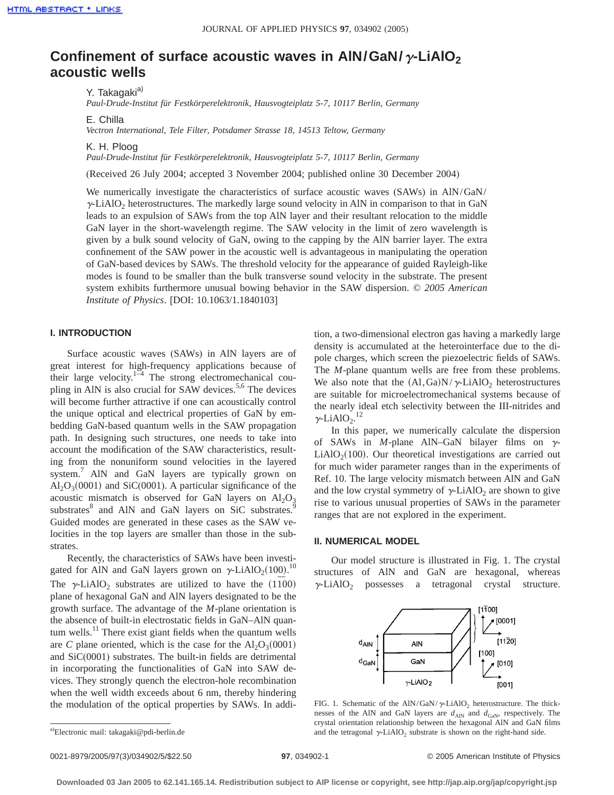# **Confinement of surface acoustic waves in AIN/GaN/** $\gamma$ -LiAIO<sub>2</sub> **acoustic wells**

Y. Takagaki<sup>a)</sup>

*Paul-Drude-Institut für Festkörperelektronik, Hausvogteiplatz 5-7, 10117 Berlin, Germany*

E. Chilla

*Vectron International, Tele Filter, Potsdamer Strasse 18, 14513 Teltow, Germany*

K. H. Ploog

*Paul-Drude-Institut für Festkörperelektronik, Hausvogteiplatz 5-7, 10117 Berlin, Germany*

(Received 26 July 2004; accepted 3 November 2004; published online 30 December 2004)

We numerically investigate the characteristics of surface acoustic waves (SAWs) in AlN/GaN/  $\gamma$ -LiAlO<sub>2</sub> heterostructures. The markedly large sound velocity in AlN in comparison to that in GaN leads to an expulsion of SAWs from the top AlN layer and their resultant relocation to the middle GaN layer in the short-wavelength regime. The SAW velocity in the limit of zero wavelength is given by a bulk sound velocity of GaN, owing to the capping by the AlN barrier layer. The extra confinement of the SAW power in the acoustic well is advantageous in manipulating the operation of GaN-based devices by SAWs. The threshold velocity for the appearance of guided Rayleigh-like modes is found to be smaller than the bulk transverse sound velocity in the substrate. The present system exhibits furthermore unusual bowing behavior in the SAW dispersion. © *2005 American Institute of Physics*. [DOI: 10.1063/1.1840103]

## **I. INTRODUCTION**

Surface acoustic waves (SAWs) in AlN layers are of great interest for high-frequency applications because of their large velocity.<sup>1–4</sup> The strong electromechanical coupling in AlN is also crucial for SAW devices.<sup>5,6</sup> The devices will become further attractive if one can acoustically control the unique optical and electrical properties of GaN by embedding GaN-based quantum wells in the SAW propagation path. In designing such structures, one needs to take into account the modification of the SAW characteristics, resulting from the nonuniform sound velocities in the layered system.<sup>7</sup> AlN and GaN layers are typically grown on  $Al_2O_3(0001)$  and SiC(0001). A particular significance of the acoustic mismatch is observed for GaN layers on  $Al_2O_3$ substrates<sup>8</sup> and AlN and GaN layers on SiC substrates.<sup>9</sup> Guided modes are generated in these cases as the SAW velocities in the top layers are smaller than those in the substrates.

Recently, the characteristics of SAWs have been investigated for AlN and GaN layers grown on  $\gamma$ -LiAlO<sub>2</sub>(100).<sup>10</sup> The  $\gamma$ -LiAlO<sub>2</sub> substrates are utilized to have the (1<sup> $\overline{1}00$ </sup>) plane of hexagonal GaN and AlN layers designated to be the growth surface. The advantage of the *M*-plane orientation is the absence of built-in electrostatic fields in GaN–AlN quantum wells.<sup>11</sup> There exist giant fields when the quantum wells are *C* plane oriented, which is the case for the  $Al_2O_3(0001)$ and SiC(0001) substrates. The built-in fields are detrimental in incorporating the functionalities of GaN into SAW devices. They strongly quench the electron-hole recombination when the well width exceeds about 6 nm, thereby hindering the modulation of the optical properties by SAWs. In addition, a two-dimensional electron gas having a markedly large density is accumulated at the heterointerface due to the dipole charges, which screen the piezoelectric fields of SAWs. The *M*-plane quantum wells are free from these problems. We also note that the  $(A1, Ga)N/\gamma$ -LiAlO<sub>2</sub> heterostructures are suitable for microelectromechanical systems because of the nearly ideal etch selectivity between the III-nitrides and  $\gamma$ -LiAlO<sub>2</sub>.<sup>12</sup>

In this paper, we numerically calculate the dispersion of SAWs in *M*-plane AlN–GaN bilayer films on  $\gamma$ - $LiAlO<sub>2</sub>(100)$ . Our theoretical investigations are carried out for much wider parameter ranges than in the experiments of Ref. 10. The large velocity mismatch between AlN and GaN and the low crystal symmetry of  $\gamma$ -LiAlO<sub>2</sub> are shown to give rise to various unusual properties of SAWs in the parameter ranges that are not explored in the experiment.

## **II. NUMERICAL MODEL**

Our model structure is illustrated in Fig. 1. The crystal structures of AlN and GaN are hexagonal, whereas  $\gamma$ -LiAlO<sub>2</sub> possesses a tetragonal crystal structure.



FIG. 1. Schematic of the AlN/GaN/ $\gamma$ -LiAlO<sub>2</sub> heterostructure. The thicknesses of the AlN and GaN layers are  $d_{\text{AlN}}$  and  $d_{\text{GaN}}$ , respectively. The crystal orientation relationship between the hexagonal AlN and GaN films and the tetragonal  $\gamma$ -LiAlO<sub>2</sub> substrate is shown on the right-hand side.

0021-8979/2005/97(3)/034902/5/\$22.50 © 2005 American Institute of Physics **97**, 034902-1

a) Electronic mail: takagaki@pdi-berlin.de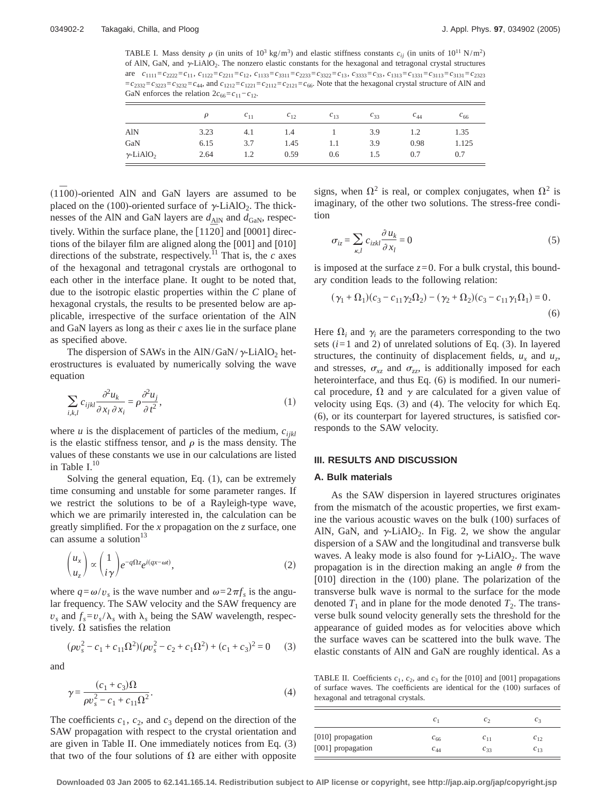TABLE I. Mass density  $\rho$  (in units of 10<sup>3</sup> kg/m<sup>3</sup>) and elastic stiffness constants  $c_{ij}$  (in units of 10<sup>11</sup> N/m<sup>2</sup>) of AlN, GaN, and  $\gamma$ -LiAlO<sub>2</sub>. The nonzero elastic constants for the hexagonal and tetragonal crystal structures are  $c_{1111} = c_{2222} = c_{11}$ ,  $c_{1122} = c_{2211} = c_{12}$ ,  $c_{1133} = c_{3311} = c_{2233} = c_{3322} = c_{13}$ ,  $c_{3333} = c_{33}$ ,  $c_{1313} = c_{1331} = c_{3113} = c_{3131} = c_{3233}$  $=c_{2332}=c_{3232}=c_{3232}=c_{44}$ , and  $c_{1212}=c_{1221}=c_{2112}=c_{2121}=c_{66}$ . Note that the hexagonal crystal structure of AIN and GaN enforces the relation  $2c_{66}=c_{11}-c_{12}$ .

|                              |      | $c_{11}$ | $c_{12}$ | $c_{13}$ | $C_{33}$ | $c_{44}$ | $c_{66}$ |
|------------------------------|------|----------|----------|----------|----------|----------|----------|
| <b>AlN</b>                   | 3.23 | 4.1      | 1.4      |          | 3.9      | 1.2      | 1.35     |
| GaN                          | 6.15 | 3.7      | 1.45     | 1.1      | 3.9      | 0.98     | 1.125    |
| $\gamma$ -LiAlO <sub>2</sub> | 2.64 | 1.2      | 0.59     | 0.6      | 1.5      | 0.7      | 0.7      |

(1100)-oriented AlN and GaN layers are assumed to be placed on the (100)-oriented surface of  $\gamma$ -LiAlO<sub>2</sub>. The thicknesses of the AlN and GaN layers are  $d_{\text{AlN}}$  and  $d_{\text{GaN}}$ , respectively. Within the surface plane, the  $[11\overline{2}0]$  and  $[0001]$  directions of the bilayer film are aligned along the [001] and [010] directions of the substrate, respectively.<sup>11</sup> That is, the  $c$  axes of the hexagonal and tetragonal crystals are orthogonal to each other in the interface plane. It ought to be noted that, due to the isotropic elastic properties within the *C* plane of hexagonal crystals, the results to be presented below are applicable, irrespective of the surface orientation of the AlN and GaN layers as long as their *c* axes lie in the surface plane as specified above.

The dispersion of SAWs in the AlN/GaN/ $\gamma$ -LiAlO<sub>2</sub> heterostructures is evaluated by numerically solving the wave equation

$$
\sum_{i,k,l} c_{ijkl} \frac{\partial^2 u_k}{\partial x_l \partial x_i} = \rho \frac{\partial^2 u_j}{\partial t^2},\tag{1}
$$

where  $u$  is the displacement of particles of the medium,  $c_{ijkl}$ is the elastic stiffness tensor, and  $\rho$  is the mass density. The values of these constants we use in our calculations are listed in Table  $I<sup>10</sup>$ 

Solving the general equation, Eq. (1), can be extremely time consuming and unstable for some parameter ranges. If we restrict the solutions to be of a Rayleigh-type wave, which we are primarily interested in, the calculation can be greatly simplified. For the *x* propagation on the *z* surface, one can assume a solution $13$ 

$$
\binom{u_x}{u_z} \propto \binom{1}{i\gamma} e^{-q\Omega z} e^{i(qx-\omega t)},\tag{2}
$$

where  $q = \omega/v_s$  is the wave number and  $\omega = 2\pi f_s$  is the angular frequency. The SAW velocity and the SAW frequency are  $v_s$  and  $f_s = v_s/\lambda_s$  with  $\lambda_s$  being the SAW wavelength, respectively.  $\Omega$  satisfies the relation

$$
(\rho v_s^2 - c_1 + c_{11} \Omega^2)(\rho v_s^2 - c_2 + c_1 \Omega^2) + (c_1 + c_3)^2 = 0 \tag{3}
$$

and

$$
\gamma = \frac{(c_1 + c_3)\Omega}{\rho v_s^2 - c_1 + c_{11}\Omega^2}.
$$
\n(4)

The coefficients  $c_1$ ,  $c_2$ , and  $c_3$  depend on the direction of the SAW propagation with respect to the crystal orientation and are given in Table II. One immediately notices from Eq. (3) that two of the four solutions of  $\Omega$  are either with opposite signs, when  $\Omega^2$  is real, or complex conjugates, when  $\Omega^2$  is imaginary, of the other two solutions. The stress-free condition

$$
\sigma_{iz} = \sum_{\kappa,l} c_{izkl} \frac{\partial u_k}{\partial x_l} = 0
$$
\n(5)

is imposed at the surface  $z=0$ . For a bulk crystal, this boundary condition leads to the following relation:

$$
(\gamma_1 + \Omega_1)(c_3 - c_{11}\gamma_2\Omega_2) - (\gamma_2 + \Omega_2)(c_3 - c_{11}\gamma_1\Omega_1) = 0.
$$
\n(6)

Here  $\Omega_i$  and  $\gamma_i$  are the parameters corresponding to the two sets (*i*=1 and 2) of unrelated solutions of Eq. (3). In layered structures, the continuity of displacement fields,  $u_x$  and  $u_z$ , and stresses,  $\sigma_{xz}$  and  $\sigma_{zz}$  is additionally imposed for each heterointerface, and thus Eq. (6) is modified. In our numerical procedure,  $\Omega$  and  $\gamma$  are calculated for a given value of velocity using Eqs. (3) and (4). The velocity for which Eq. (6), or its counterpart for layered structures, is satisfied corresponds to the SAW velocity.

#### **III. RESULTS AND DISCUSSION**

#### **A. Bulk materials**

As the SAW dispersion in layered structures originates from the mismatch of the acoustic properties, we first examine the various acoustic waves on the bulk (100) surfaces of AlN, GaN, and  $\gamma$ -LiAlO<sub>2</sub>. In Fig. 2, we show the angular dispersion of a SAW and the longitudinal and transverse bulk waves. A leaky mode is also found for  $\gamma$ -LiAlO<sub>2</sub>. The wave propagation is in the direction making an angle  $\theta$  from the [010] direction in the (100) plane. The polarization of the transverse bulk wave is normal to the surface for the mode denoted  $T_1$  and in plane for the mode denoted  $T_2$ . The transverse bulk sound velocity generally sets the threshold for the appearance of guided modes as for velocities above which the surface waves can be scattered into the bulk wave. The elastic constants of AlN and GaN are roughly identical. As a

TABLE II. Coefficients  $c_1$ ,  $c_2$ , and  $c_3$  for the [010] and [001] propagations of surface waves. The coefficients are identical for the (100) surfaces of hexagonal and tetragonal crystals.

|                   | $\mathcal{C}_1$ | $c_{\gamma}$ | c <sub>3</sub> |
|-------------------|-----------------|--------------|----------------|
| [010] propagation | $c_{66}$        | $c_{11}$     | $C_{12}$       |
| [001] propagation | $c_{44}$        | $c_{33}$     | $c_{13}$       |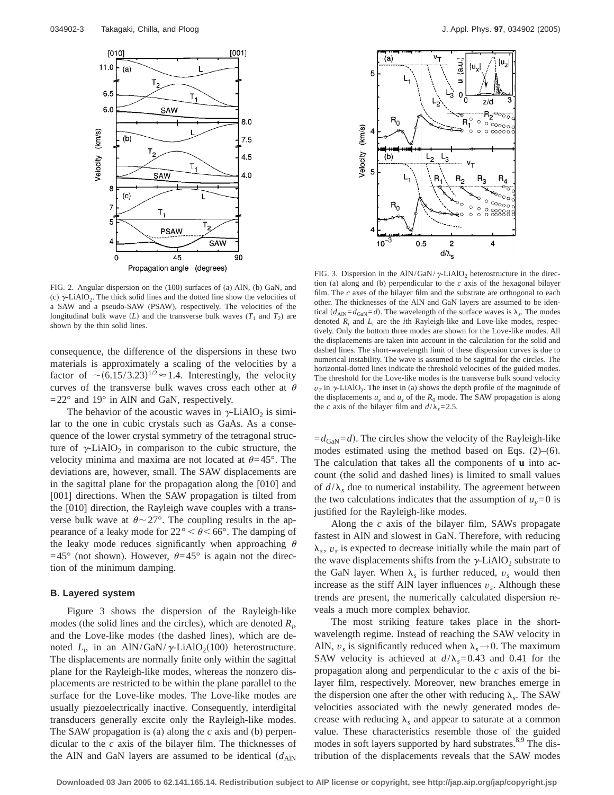

FIG. 2. Angular dispersion on the (100) surfaces of (a) AlN, (b) GaN, and (c)  $\gamma$ -LiAlO<sub>2</sub>. The thick solid lines and the dotted line show the velocities of a SAW and a pseudo-SAW (PSAW), respectively. The velocities of the longitudinal bulk wave  $(L)$  and the transverse bulk waves  $(T_1$  and  $T_2)$  are shown by the thin solid lines.

consequence, the difference of the dispersions in these two materials is approximately a scaling of the velocities by a factor of  $\sim (6.15/3.23)^{1/2} \approx 1.4$ . Interestingly, the velocity curves of the transverse bulk waves cross each other at  $\theta$  $=22^{\circ}$  and 19° in AlN and GaN, respectively.

The behavior of the acoustic waves in  $\gamma$ -LiAlO<sub>2</sub> is similar to the one in cubic crystals such as GaAs. As a consequence of the lower crystal symmetry of the tetragonal structure of  $\gamma$ -LiAlO<sub>2</sub> in comparison to the cubic structure, the velocity minima and maxima are not located at  $\theta$ =45°. The deviations are, however, small. The SAW displacements are in the sagittal plane for the propagation along the [010] and [001] directions. When the SAW propagation is tilted from the [010] direction, the Rayleigh wave couples with a transverse bulk wave at  $\theta \sim 27^{\circ}$ . The coupling results in the appearance of a leaky mode for  $22^{\circ} < \theta < 66^{\circ}$ . The damping of the leaky mode reduces significantly when approaching  $\theta$ =45° (not shown). However,  $\theta$ =45° is again not the direction of the minimum damping.

#### **B. Layered system**

Figure 3 shows the dispersion of the Rayleigh-like modes (the solid lines and the circles), which are denoted *Ri* , and the Love-like modes (the dashed lines), which are denoted  $L_i$ , in an AlN/GaN/ $\gamma$ -LiAlO<sub>2</sub>(100) heterostructure. The displacements are normally finite only within the sagittal plane for the Rayleigh-like modes, whereas the nonzero displacements are restricted to be within the plane parallel to the surface for the Love-like modes. The Love-like modes are usually piezoelectrically inactive. Consequently, interdigital transducers generally excite only the Rayleigh-like modes. The SAW propagation is (a) along the *c* axis and (b) perpendicular to the *c* axis of the bilayer film. The thicknesses of the AlN and GaN layers are assumed to be identical  $(d_{\text{AlN}})$ 



FIG. 3. Dispersion in the AlN/GaN/ $\gamma$ -LiAlO<sub>2</sub> heterostructure in the direction (a) along and (b) perpendicular to the *c* axis of the hexagonal bilayer film. The *c* axes of the bilayer film and the substrate are orthogonal to each other. The thicknesses of the AlN and GaN layers are assumed to be identical  $(d_{\text{AlN}}=d_{\text{Gal}}=d)$ . The wavelength of the surface waves is  $\lambda_s$ . The modes denoted  $R_i$  and  $L_i$  are the *i*th Rayleigh-like and Love-like modes, respectively. Only the bottom three modes are shown for the Love-like modes. All the displacements are taken into account in the calculation for the solid and dashed lines. The short-wavelength limit of these dispersion curves is due to numerical instability. The wave is assumed to be sagittal for the circles. The horizontal-dotted lines indicate the threshold velocities of the guided modes. The threshold for the Love-like modes is the transverse bulk sound velocity  $v_T$  in  $\gamma$ -LiAlO<sub>2</sub>. The inset in (a) shows the depth profile of the magnitude of the displacements  $u_x$  and  $u_z$  of the  $R_0$  mode. The SAW propagation is along the *c* axis of the bilayer film and  $d/\lambda_s = 2.5$ .

 $=d_{\text{GaN}}=d$ . The circles show the velocity of the Rayleigh-like modes estimated using the method based on Eqs.  $(2)$ – $(6)$ . The calculation that takes all the components of **u** into account (the solid and dashed lines) is limited to small values of  $d/\lambda_s$  due to numerical instability. The agreement between the two calculations indicates that the assumption of  $u_y = 0$  is justified for the Rayleigh-like modes.

Along the *c* axis of the bilayer film, SAWs propagate fastest in AlN and slowest in GaN. Therefore, with reducing  $\lambda_s$ ,  $v_s$  is expected to decrease initially while the main part of the wave displacements shifts from the  $\gamma$ -LiAlO<sub>2</sub> substrate to the GaN layer. When  $\lambda_s$  is further reduced,  $v_s$  would then increase as the stiff AlN layer influences  $v<sub>s</sub>$ . Although these trends are present, the numerically calculated dispersion reveals a much more complex behavior.

The most striking feature takes place in the shortwavelength regime. Instead of reaching the SAW velocity in AlN,  $v_s$  is significantly reduced when  $\lambda_s \rightarrow 0$ . The maximum SAW velocity is achieved at  $d/\lambda_s=0.43$  and 0.41 for the propagation along and perpendicular to the *c* axis of the bilayer film, respectively. Moreover, new branches emerge in the dispersion one after the other with reducing  $\lambda_s$ . The SAW velocities associated with the newly generated modes decrease with reducing  $\lambda_s$  and appear to saturate at a common value. These characteristics resemble those of the guided modes in soft layers supported by hard substrates.<sup>8,9</sup> The distribution of the displacements reveals that the SAW modes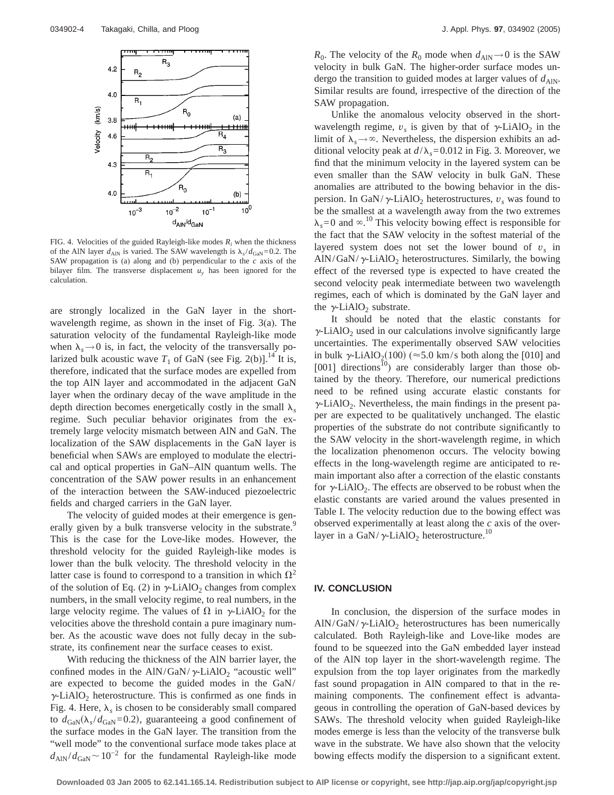

FIG. 4. Velocities of the guided Rayleigh-like modes *Ri* when the thickness of the AlN layer  $d_{\text{AlN}}$  is varied. The SAW wavelength is  $\lambda_s/d_{\text{GaN}}=0.2$ . The SAW propagation is (a) along and (b) perpendicular to the *c* axis of the bilayer film. The transverse displacement  $u<sub>y</sub>$  has been ignored for the calculation.

are strongly localized in the GaN layer in the shortwavelength regime, as shown in the inset of Fig. 3(a). The saturation velocity of the fundamental Rayleigh-like mode when  $\lambda_s \rightarrow 0$  is, in fact, the velocity of the transversally polarized bulk acoustic wave  $T_1$  of GaN (see Fig. 2(b)].<sup>14</sup> It is, therefore, indicated that the surface modes are expelled from the top AlN layer and accommodated in the adjacent GaN layer when the ordinary decay of the wave amplitude in the depth direction becomes energetically costly in the small  $\lambda_s$ regime. Such peculiar behavior originates from the extremely large velocity mismatch between AlN and GaN. The localization of the SAW displacements in the GaN layer is beneficial when SAWs are employed to modulate the electrical and optical properties in GaN–AlN quantum wells. The concentration of the SAW power results in an enhancement of the interaction between the SAW-induced piezoelectric fields and charged carriers in the GaN layer.

The velocity of guided modes at their emergence is generally given by a bulk transverse velocity in the substrate.<sup>9</sup> This is the case for the Love-like modes. However, the threshold velocity for the guided Rayleigh-like modes is lower than the bulk velocity. The threshold velocity in the latter case is found to correspond to a transition in which  $\Omega^2$ of the solution of Eq. (2) in  $\gamma$ -LiAlO<sub>2</sub> changes from complex numbers, in the small velocity regime, to real numbers, in the large velocity regime. The values of  $\Omega$  in  $\gamma$ -LiAlO<sub>2</sub> for the velocities above the threshold contain a pure imaginary number. As the acoustic wave does not fully decay in the substrate, its confinement near the surface ceases to exist.

With reducing the thickness of the AlN barrier layer, the confined modes in the AlN/GaN/ $\gamma$ -LiAlO<sub>2</sub> "acoustic well" are expected to become the guided modes in the GaN/  $\gamma$ -LiAlO<sub>2</sub> heterostructure. This is confirmed as one finds in Fig. 4. Here,  $\lambda_s$  is chosen to be considerably small compared to  $d_{\text{GaN}}(\lambda_s/d_{\text{GaN}}=0.2)$ , guaranteeing a good confinement of the surface modes in the GaN layer. The transition from the "well mode" to the conventional surface mode takes place at  $d_{\text{AlN}}/d_{\text{GaN}}$  ~ 10<sup>-2</sup> for the fundamental Rayleigh-like mode *R*<sub>0</sub>. The velocity of the *R*<sub>0</sub> mode when  $d_{\text{AlN}} \rightarrow 0$  is the SAW velocity in bulk GaN. The higher-order surface modes undergo the transition to guided modes at larger values of  $d_{\text{AlN}}$ . Similar results are found, irrespective of the direction of the SAW propagation.

Unlike the anomalous velocity observed in the shortwavelength regime,  $v_s$  is given by that of  $\gamma$ -LiAlO<sub>2</sub> in the limit of  $\lambda_s \rightarrow \infty$ . Nevertheless, the dispersion exhibits an additional velocity peak at  $d/\lambda_s$ =0.012 in Fig. 3. Moreover, we find that the minimum velocity in the layered system can be even smaller than the SAW velocity in bulk GaN. These anomalies are attributed to the bowing behavior in the dispersion. In GaN/ $\gamma$ -LiAlO<sub>2</sub> heterostructures,  $v_s$  was found to be the smallest at a wavelength away from the two extremes  $\lambda_s = 0$  and  $\infty$ .<sup>10</sup> This velocity bowing effect is responsible for the fact that the SAW velocity in the softest material of the layered system does not set the lower bound of  $v<sub>s</sub>$  in  $\text{AlN/GaN}/\gamma\text{-LiAlO}_2$  heterostructures. Similarly, the bowing effect of the reversed type is expected to have created the second velocity peak intermediate between two wavelength regimes, each of which is dominated by the GaN layer and the  $\gamma$ -LiAlO<sub>2</sub> substrate.

It should be noted that the elastic constants for  $\gamma$ -LiAlO<sub>2</sub> used in our calculations involve significantly large uncertainties. The experimentally observed SAW velocities in bulk  $\gamma$ -LiAlO<sub>2</sub>(100) ( $\approx$  5.0 km/s both along the [010] and  $[001]$  directions<sup>10</sup>) are considerably larger than those obtained by the theory. Therefore, our numerical predictions need to be refined using accurate elastic constants for  $\gamma$ -LiAlO<sub>2</sub>. Nevertheless, the main findings in the present paper are expected to be qualitatively unchanged. The elastic properties of the substrate do not contribute significantly to the SAW velocity in the short-wavelength regime, in which the localization phenomenon occurs. The velocity bowing effects in the long-wavelength regime are anticipated to remain important also after a correction of the elastic constants for  $\gamma$ -LiAlO<sub>2</sub>. The effects are observed to be robust when the elastic constants are varied around the values presented in Table I. The velocity reduction due to the bowing effect was observed experimentally at least along the *c* axis of the overlayer in a GaN/ $\gamma$ -LiAlO<sub>2</sub> heterostructure.<sup>10</sup>

### **IV. CONCLUSION**

In conclusion, the dispersion of the surface modes in  $\text{AlN/GaN}/\gamma\text{-LiAlO}_2$  heterostructures has been numerically calculated. Both Rayleigh-like and Love-like modes are found to be squeezed into the GaN embedded layer instead of the AlN top layer in the short-wavelength regime. The expulsion from the top layer originates from the markedly fast sound propagation in AlN compared to that in the remaining components. The confinement effect is advantageous in controlling the operation of GaN-based devices by SAWs. The threshold velocity when guided Rayleigh-like modes emerge is less than the velocity of the transverse bulk wave in the substrate. We have also shown that the velocity bowing effects modify the dispersion to a significant extent.